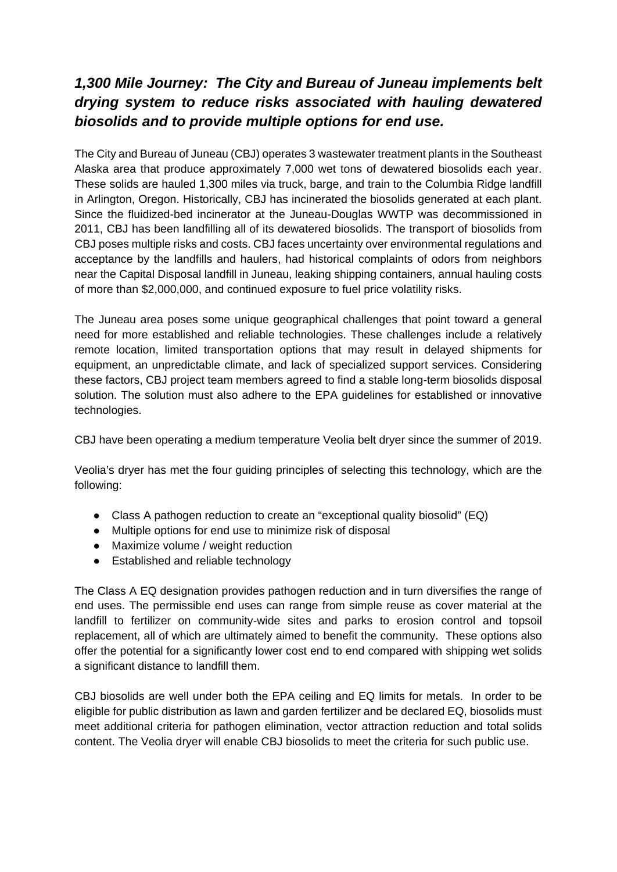## *1,300 Mile Journey: The City and Bureau of Juneau implements belt drying system to reduce risks associated with hauling dewatered biosolids and to provide multiple options for end use.*

The City and Bureau of Juneau (CBJ) operates 3 wastewater treatment plants in the Southeast Alaska area that produce approximately 7,000 wet tons of dewatered biosolids each year. These solids are hauled 1,300 miles via truck, barge, and train to the Columbia Ridge landfill in Arlington, Oregon. Historically, CBJ has incinerated the biosolids generated at each plant. Since the fluidized-bed incinerator at the Juneau-Douglas WWTP was decommissioned in 2011, CBJ has been landfilling all of its dewatered biosolids. The transport of biosolids from CBJ poses multiple risks and costs. CBJ faces uncertainty over environmental regulations and acceptance by the landfills and haulers, had historical complaints of odors from neighbors near the Capital Disposal landfill in Juneau, leaking shipping containers, annual hauling costs of more than \$2,000,000, and continued exposure to fuel price volatility risks.

The Juneau area poses some unique geographical challenges that point toward a general need for more established and reliable technologies. These challenges include a relatively remote location, limited transportation options that may result in delayed shipments for equipment, an unpredictable climate, and lack of specialized support services. Considering these factors, CBJ project team members agreed to find a stable long-term biosolids disposal solution. The solution must also adhere to the EPA guidelines for established or innovative technologies.

CBJ have been operating a medium temperature Veolia belt dryer since the summer of 2019.

Veolia's dryer has met the four guiding principles of selecting this technology, which are the following:

- Class A pathogen reduction to create an "exceptional quality biosolid" (EQ)
- Multiple options for end use to minimize risk of disposal
- Maximize volume / weight reduction
- Established and reliable technology

The Class A EQ designation provides pathogen reduction and in turn diversifies the range of end uses. The permissible end uses can range from simple reuse as cover material at the landfill to fertilizer on community-wide sites and parks to erosion control and topsoil replacement, all of which are ultimately aimed to benefit the community. These options also offer the potential for a significantly lower cost end to end compared with shipping wet solids a significant distance to landfill them.

CBJ biosolids are well under both the EPA ceiling and EQ limits for metals. In order to be eligible for public distribution as lawn and garden fertilizer and be declared EQ, biosolids must meet additional criteria for pathogen elimination, vector attraction reduction and total solids content. The Veolia dryer will enable CBJ biosolids to meet the criteria for such public use.